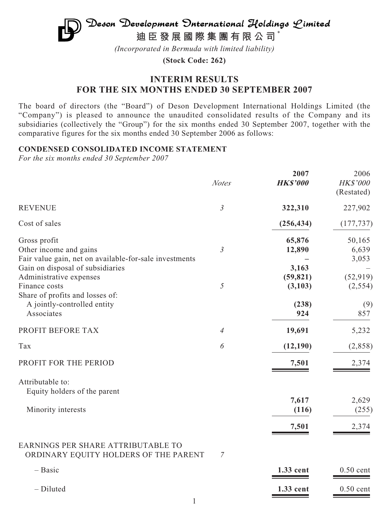# $\mathfrak{D}$ eson Development  $\mathfrak{D}$ nternational Holdings  $\mathfrak{L}$ imited **迪臣發展國際集團有限公司** \*

*(Incorporated in Bermuda with limited liability)*

**(Stock Code: 262)**

# **INTERIM RESULTS FOR THE SIX MONTHS ENDED 30 SEPTEMBER 2007**

The board of directors (the "Board") of Deson Development International Holdings Limited (the "Company") is pleased to announce the unaudited consolidated results of the Company and its subsidiaries (collectively the "Group") for the six months ended 30 September 2007, together with the comparative figures for the six months ended 30 September 2006 as follows:

# **CONDENSED CONSOLIDATED INCOME STATEMENT**

*For the six months ended 30 September 2007*

|                                                                                                                                      | <b>Notes</b>   | 2007<br><b>HK\$'000</b>               | 2006<br>HK\$'000<br>(Restated)      |
|--------------------------------------------------------------------------------------------------------------------------------------|----------------|---------------------------------------|-------------------------------------|
| <b>REVENUE</b>                                                                                                                       | $\mathfrak{Z}$ | 322,310                               | 227,902                             |
| Cost of sales                                                                                                                        |                | (256, 434)                            | (177, 737)                          |
| Gross profit<br>Other income and gains<br>Fair value gain, net on available-for-sale investments<br>Gain on disposal of subsidiaries | $\mathfrak{Z}$ | 65,876<br>12,890<br>3,163             | 50,165<br>6,639<br>3,053            |
| Administrative expenses<br>Finance costs<br>Share of profits and losses of:<br>A jointly-controlled entity<br>Associates             | $\mathfrak{H}$ | (59, 821)<br>(3, 103)<br>(238)<br>924 | (52, 919)<br>(2, 554)<br>(9)<br>857 |
| PROFIT BEFORE TAX                                                                                                                    | $\overline{4}$ | 19,691                                | 5,232                               |
| Tax                                                                                                                                  | 6              | (12, 190)                             | (2,858)                             |
| PROFIT FOR THE PERIOD                                                                                                                |                | 7,501                                 | 2,374                               |
| Attributable to:<br>Equity holders of the parent<br>Minority interests                                                               |                | 7,617<br>(116)                        | 2,629<br>(255)                      |
|                                                                                                                                      |                | 7,501                                 | 2,374                               |
| EARNINGS PER SHARE ATTRIBUTABLE TO<br>ORDINARY EQUITY HOLDERS OF THE PARENT                                                          | 7              |                                       |                                     |
| $-$ Basic                                                                                                                            |                | 1.33 cent                             | $0.50$ cent                         |
| - Diluted                                                                                                                            |                | 1.33 cent                             | $0.50$ cent                         |

1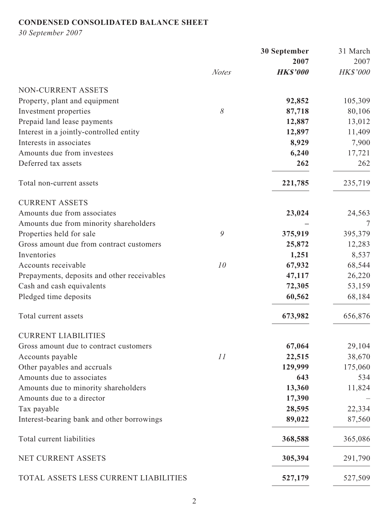# **CONDENSED CONSOLIDATED BALANCE SHEET**

*30 September 2007*

|                                             | <b>30 September</b> |                 | 31 March |
|---------------------------------------------|---------------------|-----------------|----------|
|                                             |                     | 2007            | 2007     |
|                                             | <b>Notes</b>        | <b>HK\$'000</b> | HK\$'000 |
| NON-CURRENT ASSETS                          |                     |                 |          |
| Property, plant and equipment               |                     | 92,852          | 105,309  |
| Investment properties                       | $\delta$            | 87,718          | 80,106   |
| Prepaid land lease payments                 |                     | 12,887          | 13,012   |
| Interest in a jointly-controlled entity     |                     | 12,897          | 11,409   |
| Interests in associates                     |                     | 8,929           | 7,900    |
| Amounts due from investees                  |                     | 6,240           | 17,721   |
| Deferred tax assets                         |                     | 262             | 262      |
| Total non-current assets                    |                     | 221,785         | 235,719  |
| <b>CURRENT ASSETS</b>                       |                     |                 |          |
| Amounts due from associates                 |                     | 23,024          | 24,563   |
| Amounts due from minority shareholders      |                     |                 |          |
| Properties held for sale                    | 9                   | 375,919         | 395,379  |
| Gross amount due from contract customers    |                     | 25,872          | 12,283   |
| Inventories                                 |                     | 1,251           | 8,537    |
| Accounts receivable                         | 10                  | 67,932          | 68,544   |
| Prepayments, deposits and other receivables |                     | 47,117          | 26,220   |
| Cash and cash equivalents                   |                     | 72,305          | 53,159   |
| Pledged time deposits                       |                     | 60,562          | 68,184   |
| Total current assets                        |                     | 673,982         | 656,876  |
| <b>CURRENT LIABILITIES</b>                  |                     |                 |          |
| Gross amount due to contract customers      |                     | 67,064          | 29,104   |
| Accounts payable                            | 11                  | 22,515          | 38,670   |
| Other payables and accruals                 |                     | 129,999         | 175,060  |
| Amounts due to associates                   |                     | 643             | 534      |
| Amounts due to minority shareholders        |                     | 13,360          | 11,824   |
| Amounts due to a director                   |                     | 17,390          |          |
| Tax payable                                 |                     | 28,595          | 22,334   |
| Interest-bearing bank and other borrowings  |                     | 89,022          | 87,560   |
| Total current liabilities                   |                     | 368,588         | 365,086  |
| NET CURRENT ASSETS                          |                     | 305,394         | 291,790  |
| TOTAL ASSETS LESS CURRENT LIABILITIES       |                     | 527,179         | 527,509  |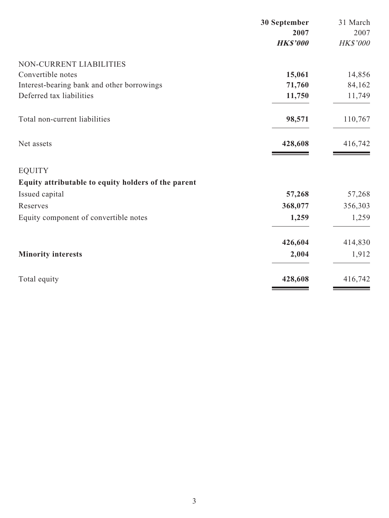|                                                     | 30 September    | 31 March |
|-----------------------------------------------------|-----------------|----------|
|                                                     | 2007            | 2007     |
|                                                     | <b>HK\$'000</b> | HK\$'000 |
| NON-CURRENT LIABILITIES                             |                 |          |
| Convertible notes                                   | 15,061          | 14,856   |
| Interest-bearing bank and other borrowings          | 71,760          | 84,162   |
| Deferred tax liabilities                            | 11,750          | 11,749   |
| Total non-current liabilities                       | 98,571          | 110,767  |
| Net assets                                          | 428,608         | 416,742  |
| <b>EQUITY</b>                                       |                 |          |
| Equity attributable to equity holders of the parent |                 |          |
| Issued capital                                      | 57,268          | 57,268   |
| Reserves                                            | 368,077         | 356,303  |
| Equity component of convertible notes               | 1,259           | 1,259    |
|                                                     | 426,604         | 414,830  |
| <b>Minority interests</b>                           | 2,004           | 1,912    |
| Total equity                                        | 428,608         | 416,742  |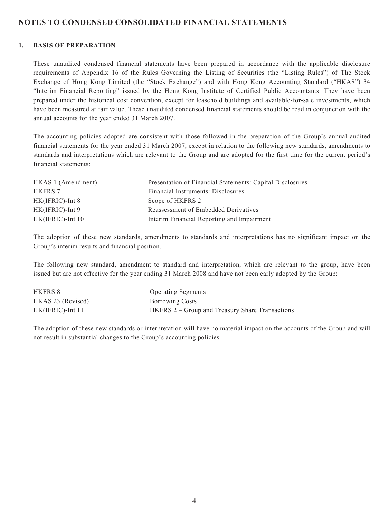### **NOTES TO CONDENSED CONSOLIDATED FINANCIAL STATEMENTS**

#### **1. BASIS OF PREPARATION**

These unaudited condensed financial statements have been prepared in accordance with the applicable disclosure requirements of Appendix 16 of the Rules Governing the Listing of Securities (the "Listing Rules") of The Stock Exchange of Hong Kong Limited (the "Stock Exchange") and with Hong Kong Accounting Standard ("HKAS") 34 "Interim Financial Reporting" issued by the Hong Kong Institute of Certified Public Accountants. They have been prepared under the historical cost convention, except for leasehold buildings and available-for-sale investments, which have been measured at fair value. These unaudited condensed financial statements should be read in conjunction with the annual accounts for the year ended 31 March 2007.

The accounting policies adopted are consistent with those followed in the preparation of the Group's annual audited financial statements for the year ended 31 March 2007, except in relation to the following new standards, amendments to standards and interpretations which are relevant to the Group and are adopted for the first time for the current period's financial statements:

| HKAS 1 (Amendment)  | Presentation of Financial Statements: Capital Disclosures |
|---------------------|-----------------------------------------------------------|
| HKFRS 7             | Financial Instruments: Disclosures                        |
| $HK(IFRIC)$ -Int 8  | Scope of HKFRS 2                                          |
| $HK(IFRIC)$ -Int 9  | Reassessment of Embedded Derivatives                      |
| $HK(IFRIC)$ -Int 10 | Interim Financial Reporting and Impairment                |

The adoption of these new standards, amendments to standards and interpretations has no significant impact on the Group's interim results and financial position.

The following new standard, amendment to standard and interpretation, which are relevant to the group, have been issued but are not effective for the year ending 31 March 2008 and have not been early adopted by the Group:

| HKFRS 8             | <b>Operating Segments</b>                       |
|---------------------|-------------------------------------------------|
| HKAS 23 (Revised)   | <b>Borrowing Costs</b>                          |
| $HK(IFRIC)$ -Int 11 | HKFRS 2 – Group and Treasury Share Transactions |

The adoption of these new standards or interpretation will have no material impact on the accounts of the Group and will not result in substantial changes to the Group's accounting policies.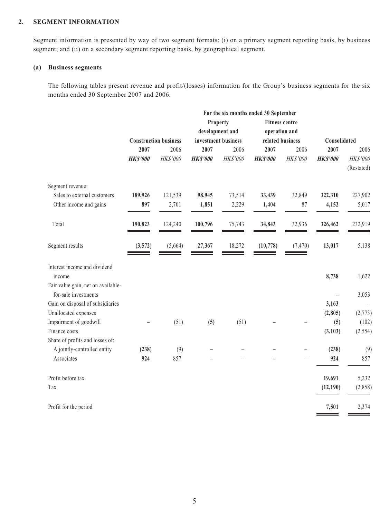#### **2. SEGMENT INFORMATION**

Segment information is presented by way of two segment formats: (i) on a primary segment reporting basis, by business segment; and (ii) on a secondary segment reporting basis, by geographical segment.

#### **(a) Business segments**

The following tables present revenue and profit/(losses) information for the Group's business segments for the six months ended 30 September 2007 and 2006.

|                                    | For the six months ended 30 September |                              |                 |                     |                  |                       |                 |            |
|------------------------------------|---------------------------------------|------------------------------|-----------------|---------------------|------------------|-----------------------|-----------------|------------|
|                                    |                                       |                              |                 | <b>Property</b>     |                  | <b>Fitness centre</b> |                 |            |
|                                    |                                       |                              |                 | development and     |                  | operation and         |                 |            |
|                                    |                                       | <b>Construction business</b> |                 | investment business | related business |                       | Consolidated    |            |
|                                    | 2007                                  | 2006                         | 2007            | 2006                | 2007             | 2006                  | 2007            | 2006       |
|                                    | <b>HK\$'000</b>                       | HK\$'000                     | <b>HK\$'000</b> | HK\$'000            | <b>HK\$'000</b>  | $H K\$'000$           | <b>HK\$'000</b> | HK\$'000   |
|                                    |                                       |                              |                 |                     |                  |                       |                 | (Restated) |
| Segment revenue:                   |                                       |                              |                 |                     |                  |                       |                 |            |
| Sales to external customers        | 189,926                               | 121,539                      | 98,945          | 73,514              | 33,439           | 32,849                | 322,310         | 227,902    |
| Other income and gains             | 897                                   | 2,701                        | 1,851           | 2,229               | 1,404            | 87                    | 4,152           | 5,017      |
| Total                              | 190,823                               | 124,240                      | 100,796         | 75,743              | 34,843           | 32,936                | 326,462         | 232,919    |
| Segment results                    | (3,572)                               | (5,664)                      | 27,367          | 18,272              | (10, 778)        | (7, 470)              | 13,017          | 5,138      |
| Interest income and dividend       |                                       |                              |                 |                     |                  |                       |                 |            |
| income                             |                                       |                              |                 |                     |                  |                       | 8,738           | 1,622      |
| Fair value gain, net on available- |                                       |                              |                 |                     |                  |                       |                 |            |
| for-sale investments               |                                       |                              |                 |                     |                  |                       |                 | 3,053      |
| Gain on disposal of subsidiaries   |                                       |                              |                 |                     |                  |                       | 3,163           |            |
| Unallocated expenses               |                                       |                              |                 |                     |                  |                       | (2, 805)        | (2,773)    |
| Impairment of goodwill             |                                       | (51)                         | (5)             | (51)                |                  |                       | (5)             | (102)      |
| Finance costs                      |                                       |                              |                 |                     |                  |                       | (3,103)         | (2, 554)   |
| Share of profits and losses of:    |                                       |                              |                 |                     |                  |                       |                 |            |
| A jointly-controlled entity        | (238)                                 | (9)                          |                 |                     |                  |                       | (238)           | (9)        |
| Associates                         | 924                                   | 857                          |                 |                     |                  |                       | 924             | 857        |
| Profit before tax                  |                                       |                              |                 |                     |                  |                       | 19,691          | 5,232      |
| Tax                                |                                       |                              |                 |                     |                  |                       | (12, 190)       | (2,858)    |
| Profit for the period              |                                       |                              |                 |                     |                  |                       | 7,501           | 2,374      |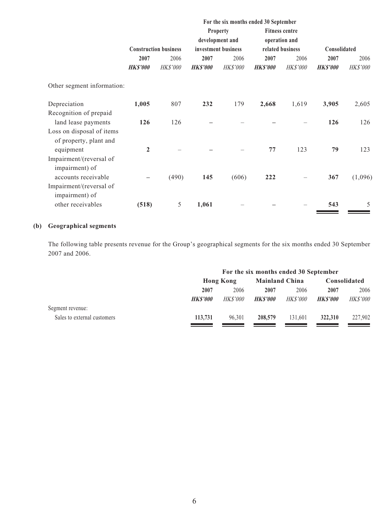|                                                     |                 |                              | For the six months ended 30 September |                                    |                |                                        |                |          |
|-----------------------------------------------------|-----------------|------------------------------|---------------------------------------|------------------------------------|----------------|----------------------------------------|----------------|----------|
|                                                     |                 |                              |                                       | <b>Property</b><br>development and |                | <b>Fitness centre</b><br>operation and |                |          |
|                                                     |                 | <b>Construction business</b> |                                       | investment business                |                | related business                       | Consolidated   |          |
|                                                     | 2007            | 2006                         | 2007                                  | 2006                               | 2007           | 2006                                   | 2007           | 2006     |
|                                                     | <b>HK\$'000</b> | <b>HK\$'000</b>              | <b>HKS'000</b>                        | <b>HK\$'000</b>                    | <b>HKS'000</b> | <b>HK\$'000</b>                        | <b>HKS'000</b> | HK\$'000 |
| Other segment information:                          |                 |                              |                                       |                                    |                |                                        |                |          |
| Depreciation                                        | 1,005           | 807                          | 232                                   | 179                                | 2,668          | 1,619                                  | 3,905          | 2,605    |
| Recognition of prepaid                              |                 |                              |                                       |                                    |                |                                        |                |          |
| land lease payments                                 | 126             | 126                          |                                       |                                    |                |                                        | 126            | 126      |
| Loss on disposal of items<br>of property, plant and |                 |                              |                                       |                                    |                |                                        |                |          |
| equipment                                           | $\overline{2}$  |                              |                                       |                                    | 77             | 123                                    | 79             | 123      |
| Impairment/(reversal of                             |                 |                              |                                       |                                    |                |                                        |                |          |
| impairment) of                                      |                 |                              |                                       |                                    |                |                                        |                |          |
| accounts receivable                                 |                 | (490)                        | 145                                   | (606)                              | 222            |                                        | 367            | (1,096)  |
| Impairment/(reversal of<br>impairment) of           |                 |                              |                                       |                                    |                |                                        |                |          |
| other receivables                                   | (518)           | 5                            | 1,061                                 |                                    |                |                                        | 543            | 5        |

# **(b) Geographical segments**

The following table presents revenue for the Group's geographical segments for the six months ended 30 September 2007 and 2006.

|                             | For the six months ended 30 September |                                           |                |                 |                |                 |
|-----------------------------|---------------------------------------|-------------------------------------------|----------------|-----------------|----------------|-----------------|
|                             |                                       | <b>Mainland China</b><br><b>Hong Kong</b> |                |                 | Consolidated   |                 |
|                             | 2007                                  | 2006                                      | 2007           | 2006            | 2007           | 2006            |
|                             | <b>HKS'000</b>                        | <i>HK\$'000</i>                           | <b>HKS'000</b> | <b>HK\$'000</b> | <b>HKS'000</b> | <b>HK\$'000</b> |
| Segment revenue:            |                                       |                                           |                |                 |                |                 |
| Sales to external customers | 113,731                               | 96.301                                    | 208,579        | 131.601         | 322,310        | 227,902         |
|                             |                                       |                                           |                |                 |                |                 |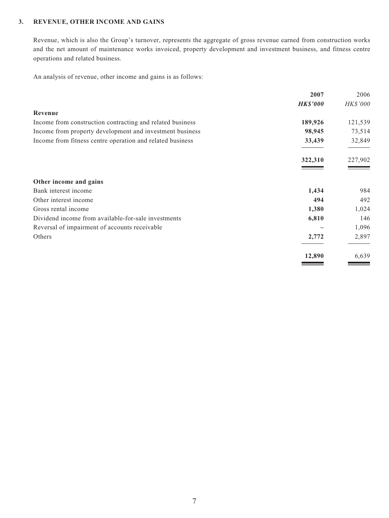#### **3. REVENUE, OTHER INCOME AND GAINS**

Revenue, which is also the Group's turnover, represents the aggregate of gross revenue earned from construction works and the net amount of maintenance works invoiced, property development and investment business, and fitness centre operations and related business.

An analysis of revenue, other income and gains is as follows:

|                                                           | 2007            | 2006     |
|-----------------------------------------------------------|-----------------|----------|
|                                                           | <b>HK\$'000</b> | HK\$'000 |
| Revenue                                                   |                 |          |
| Income from construction contracting and related business | 189,926         | 121,539  |
| Income from property development and investment business  | 98,945          | 73,514   |
| Income from fitness centre operation and related business | 33,439          | 32,849   |
|                                                           | 322,310         | 227,902  |
| Other income and gains                                    |                 |          |
| Bank interest income                                      | 1,434           | 984      |
| Other interest income                                     | 494             | 492      |
| Gross rental income                                       | 1,380           | 1,024    |
| Dividend income from available-for-sale investments       | 6,810           | 146      |
| Reversal of impairment of accounts receivable             |                 | 1,096    |
| Others                                                    | 2,772           | 2,897    |
|                                                           | 12,890          | 6,639    |
|                                                           |                 |          |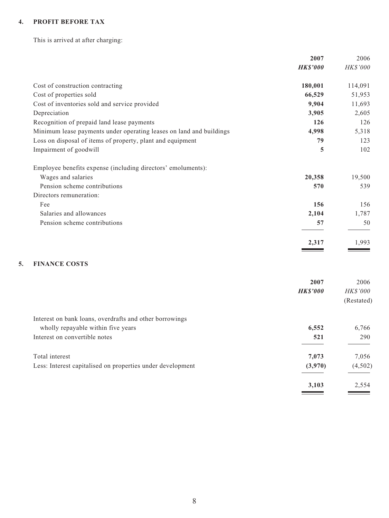### **4. PROFIT BEFORE TAX**

This is arrived at after charging:

|                                                                     | 2007            | 2006     |
|---------------------------------------------------------------------|-----------------|----------|
|                                                                     | <b>HK\$'000</b> | HK\$'000 |
| Cost of construction contracting                                    | 180,001         | 114,091  |
| Cost of properties sold                                             | 66,529          | 51,953   |
| Cost of inventories sold and service provided                       | 9,904           | 11,693   |
| Depreciation                                                        | 3,905           | 2,605    |
| Recognition of prepaid land lease payments                          | 126             | 126      |
| Minimum lease payments under operating leases on land and buildings | 4,998           | 5,318    |
| Loss on disposal of items of property, plant and equipment          | 79              | 123      |
| Impairment of goodwill                                              | 5               | 102      |
| Employee benefits expense (including directors' emoluments):        |                 |          |
| Wages and salaries                                                  | 20,358          | 19,500   |
| Pension scheme contributions                                        | 570             | 539      |
| Directors remuneration:                                             |                 |          |
| Fee                                                                 | 156             | 156      |
| Salaries and allowances                                             | 2,104           | 1,787    |
| Pension scheme contributions                                        | 57              | 50       |
|                                                                     | 2,317           | 1.993    |
|                                                                     |                 |          |

# **5. FINANCE COSTS**

|                                                            | 2007<br><b>HK\$'000</b> | 2006<br><b>HK\$'000</b><br>(Restated) |
|------------------------------------------------------------|-------------------------|---------------------------------------|
| Interest on bank loans, overdrafts and other borrowings    |                         |                                       |
| wholly repayable within five years                         | 6,552                   | 6,766                                 |
| Interest on convertible notes                              | 521                     | 290                                   |
| Total interest                                             | 7,073                   | 7,056                                 |
| Less: Interest capitalised on properties under development | (3,970)                 | (4,502)                               |
|                                                            | 3,103                   | 2,554                                 |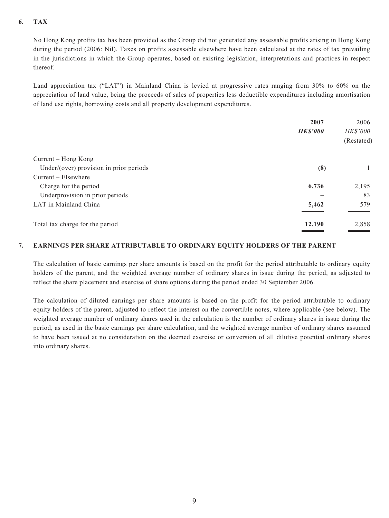#### **6. TAX**

No Hong Kong profits tax has been provided as the Group did not generated any assessable profits arising in Hong Kong during the period (2006: Nil). Taxes on profits assessable elsewhere have been calculated at the rates of tax prevailing in the jurisdictions in which the Group operates, based on existing legislation, interpretations and practices in respect thereof.

Land appreciation tax ("LAT") in Mainland China is levied at progressive rates ranging from 30% to 60% on the appreciation of land value, being the proceeds of sales of properties less deductible expenditures including amortisation of land use rights, borrowing costs and all property development expenditures.

|                                         | 2007            | 2006            |
|-----------------------------------------|-----------------|-----------------|
|                                         | <b>HK\$'000</b> | <b>HK\$'000</b> |
|                                         |                 | (Restated)      |
| Current – Hong Kong                     |                 |                 |
| Under/(over) provision in prior periods | (8)             |                 |
| $Current - Elsewhere$                   |                 |                 |
| Charge for the period                   | 6,736           | 2,195           |
| Underprovision in prior periods         |                 | 83              |
| LAT in Mainland China                   | 5,462           | 579             |
| Total tax charge for the period         | 12,190          | 2,858           |

#### **7. EARNINGS PER SHARE ATTRIBUTABLE TO ORDINARY EQUITY HOLDERS OF THE PARENT**

The calculation of basic earnings per share amounts is based on the profit for the period attributable to ordinary equity holders of the parent, and the weighted average number of ordinary shares in issue during the period, as adjusted to reflect the share placement and exercise of share options during the period ended 30 September 2006.

The calculation of diluted earnings per share amounts is based on the profit for the period attributable to ordinary equity holders of the parent, adjusted to reflect the interest on the convertible notes, where applicable (see below). The weighted average number of ordinary shares used in the calculation is the number of ordinary shares in issue during the period, as used in the basic earnings per share calculation, and the weighted average number of ordinary shares assumed to have been issued at no consideration on the deemed exercise or conversion of all dilutive potential ordinary shares into ordinary shares.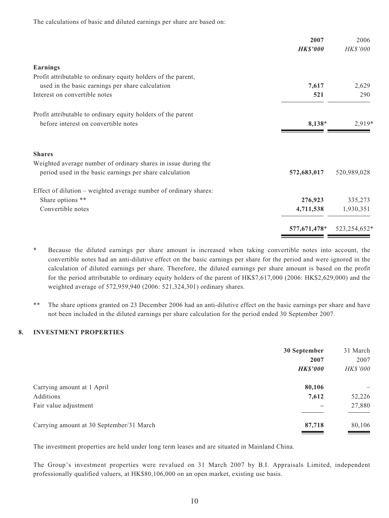|                                                                  | 2007<br><b>HK\$'000</b> | 2006<br>HK\$'000 |
|------------------------------------------------------------------|-------------------------|------------------|
| <b>Earnings</b>                                                  |                         |                  |
| Profit attributable to ordinary equity holders of the parent,    |                         |                  |
| used in the basic earnings per share calculation                 | 7,617                   | 2,629            |
| Interest on convertible notes                                    | 521                     | 290              |
| Profit attributable to ordinary equity holders of the parent     |                         |                  |
| before interest on convertible notes                             | 8,138*                  | 2,919*           |
| <b>Shares</b>                                                    |                         |                  |
| Weighted average number of ordinary shares in issue during the   |                         |                  |
| period used in the basic earnings per share calculation          | 572,683,017             | 520,989,028      |
| Effect of dilution – weighted average number of ordinary shares: |                         |                  |
| Share options **                                                 | 276,923                 | 335,273          |
| Convertible notes                                                | 4,711,538               | 1,930,351        |
|                                                                  | 577,671,478*            | 523,254,652*     |

The calculations of basic and diluted earnings per share are based on:

- \* Because the diluted earnings per share amount is increased when taking convertible notes into account, the convertible notes had an anti-dilutive effect on the basic earnings per share for the period and were ignored in the calculation of diluted earnings per share. Therefore, the diluted earnings per share amount is based on the profit for the period attributable to ordinary equity holders of the parent of HK\$7,617,000 (2006: HK\$2,629,000) and the weighted average of 572,959,940 (2006: 521,324,301) ordinary shares.
- \*\* The share options granted on 23 December 2006 had an anti-dilutive effect on the basic earnings per share and have not been included in the diluted earnings per share calculation for the period ended 30 September 2007.

#### **8. INVESTMENT PROPERTIES**

| 30 September    | 31 March |
|-----------------|----------|
| 2007            | 2007     |
| <b>HK\$'000</b> | HK\$'000 |
| 80,106          |          |
| 7,612           | 52,226   |
|                 | 27,880   |
| 87,718          | 80,106   |
|                 |          |

The investment properties are held under long term leases and are situated in Mainland China.

The Group's investment properties were revalued on 31 March 2007 by B.I. Appraisals Limited, independent professionally qualified valuers, at HK\$80,106,000 on an open market, existing use basis.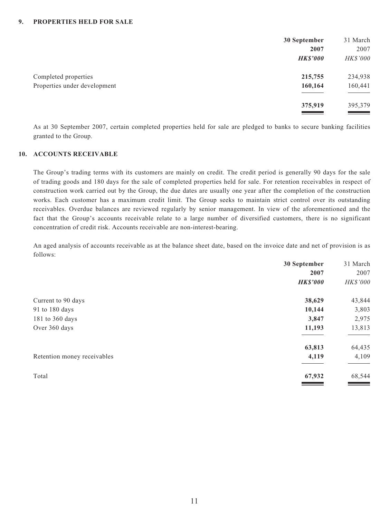|                              | 30 September      | 31 March          |
|------------------------------|-------------------|-------------------|
|                              | 2007              | 2007              |
|                              | <b>HK\$'000</b>   | HK\$'000          |
| Completed properties         | 215,755           | 234,938           |
| Properties under development | 160,164           | 160,441           |
|                              |                   |                   |
|                              | 375,919           | 395,379           |
|                              | <b>STATISTICS</b> | <u> a serie d</u> |

As at 30 September 2007, certain completed properties held for sale are pledged to banks to secure banking facilities granted to the Group.

#### **10. ACCOUNTS RECEIVABLE**

The Group's trading terms with its customers are mainly on credit. The credit period is generally 90 days for the sale of trading goods and 180 days for the sale of completed properties held for sale. For retention receivables in respect of construction work carried out by the Group, the due dates are usually one year after the completion of the construction works. Each customer has a maximum credit limit. The Group seeks to maintain strict control over its outstanding receivables. Overdue balances are reviewed regularly by senior management. In view of the aforementioned and the fact that the Group's accounts receivable relate to a large number of diversified customers, there is no significant concentration of credit risk. Accounts receivable are non-interest-bearing.

An aged analysis of accounts receivable as at the balance sheet date, based on the invoice date and net of provision is as follows:

|                             | 30 September    | 31 March |
|-----------------------------|-----------------|----------|
|                             | 2007            | 2007     |
|                             | <b>HK\$'000</b> | HK\$'000 |
| Current to 90 days          | 38,629          | 43,844   |
| 91 to 180 days              | 10,144          | 3,803    |
| 181 to 360 days             | 3,847           | 2,975    |
| Over 360 days               | 11,193          | 13,813   |
|                             | 63,813          | 64,435   |
| Retention money receivables | 4,119           | 4,109    |
| Total                       | 67,932          | 68,544   |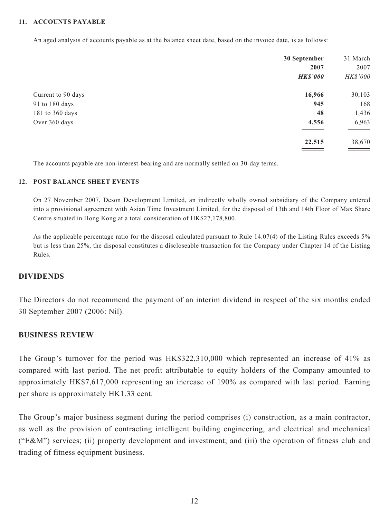#### **11. ACCOUNTS PAYABLE**

An aged analysis of accounts payable as at the balance sheet date, based on the invoice date, is as follows:

|                    | 30 September    | 31 March |
|--------------------|-----------------|----------|
|                    | 2007            | 2007     |
|                    | <b>HK\$'000</b> | HK\$'000 |
| Current to 90 days | 16,966          | 30,103   |
| 91 to 180 days     | 945             | 168      |
| 181 to 360 days    | 48              | 1,436    |
| Over 360 days      | 4,556           | 6,963    |
|                    | 22,515          | 38,670   |

The accounts payable are non-interest-bearing and are normally settled on 30-day terms.

#### **12. POST BALANCE SHEET EVENTS**

On 27 November 2007, Deson Development Limited, an indirectly wholly owned subsidiary of the Company entered into a provisional agreement with Asian Time Investment Limited, for the disposal of 13th and 14th Floor of Max Share Centre situated in Hong Kong at a total consideration of HK\$27,178,800.

As the applicable percentage ratio for the disposal calculated pursuant to Rule 14.07(4) of the Listing Rules exceeds 5% but is less than 25%, the disposal constitutes a discloseable transaction for the Company under Chapter 14 of the Listing Rules.

# **DIVIDENDS**

The Directors do not recommend the payment of an interim dividend in respect of the six months ended 30 September 2007 (2006: Nil).

# **BUSINESS REVIEW**

The Group's turnover for the period was HK\$322,310,000 which represented an increase of 41% as compared with last period. The net profit attributable to equity holders of the Company amounted to approximately HK\$7,617,000 representing an increase of 190% as compared with last period. Earning per share is approximately HK1.33 cent.

The Group's major business segment during the period comprises (i) construction, as a main contractor, as well as the provision of contracting intelligent building engineering, and electrical and mechanical ("E&M") services; (ii) property development and investment; and (iii) the operation of fitness club and trading of fitness equipment business.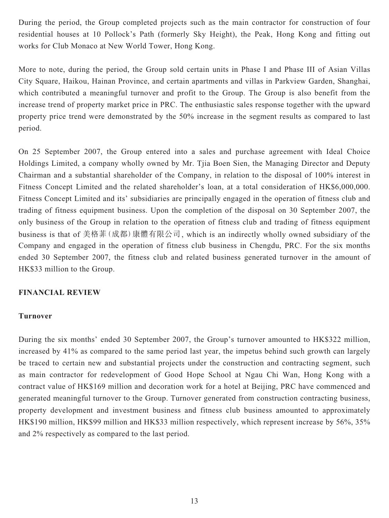During the period, the Group completed projects such as the main contractor for construction of four residential houses at 10 Pollock's Path (formerly Sky Height), the Peak, Hong Kong and fitting out works for Club Monaco at New World Tower, Hong Kong.

More to note, during the period, the Group sold certain units in Phase I and Phase III of Asian Villas City Square, Haikou, Hainan Province, and certain apartments and villas in Parkview Garden, Shanghai, which contributed a meaningful turnover and profit to the Group. The Group is also benefit from the increase trend of property market price in PRC. The enthusiastic sales response together with the upward property price trend were demonstrated by the 50% increase in the segment results as compared to last period.

On 25 September 2007, the Group entered into a sales and purchase agreement with Ideal Choice Holdings Limited, a company wholly owned by Mr. Tjia Boen Sien, the Managing Director and Deputy Chairman and a substantial shareholder of the Company, in relation to the disposal of 100% interest in Fitness Concept Limited and the related shareholder's loan, at a total consideration of HK\$6,000,000. Fitness Concept Limited and its' subsidiaries are principally engaged in the operation of fitness club and trading of fitness equipment business. Upon the completion of the disposal on 30 September 2007, the only business of the Group in relation to the operation of fitness club and trading of fitness equipment business is that of 美格菲(成都)康體有限公司, which is an indirectly wholly owned subsidiary of the Company and engaged in the operation of fitness club business in Chengdu, PRC. For the six months ended 30 September 2007, the fitness club and related business generated turnover in the amount of HK\$33 million to the Group.

### **FINANCIAL REVIEW**

#### **Turnover**

During the six months' ended 30 September 2007, the Group's turnover amounted to HK\$322 million, increased by 41% as compared to the same period last year, the impetus behind such growth can largely be traced to certain new and substantial projects under the construction and contracting segment, such as main contractor for redevelopment of Good Hope School at Ngau Chi Wan, Hong Kong with a contract value of HK\$169 million and decoration work for a hotel at Beijing, PRC have commenced and generated meaningful turnover to the Group. Turnover generated from construction contracting business, property development and investment business and fitness club business amounted to approximately HK\$190 million, HK\$99 million and HK\$33 million respectively, which represent increase by 56%, 35% and 2% respectively as compared to the last period.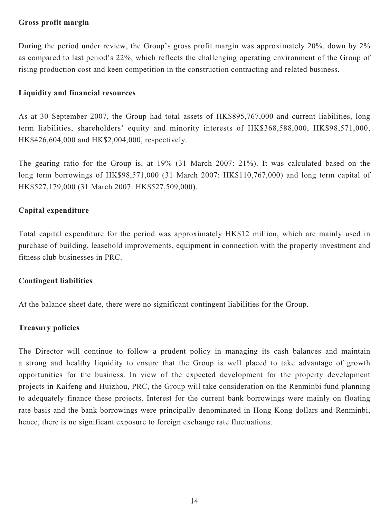# **Gross profit margin**

During the period under review, the Group's gross profit margin was approximately 20%, down by 2% as compared to last period's 22%, which reflects the challenging operating environment of the Group of rising production cost and keen competition in the construction contracting and related business.

# **Liquidity and financial resources**

As at 30 September 2007, the Group had total assets of HK\$895,767,000 and current liabilities, long term liabilities, shareholders' equity and minority interests of HK\$368,588,000, HK\$98,571,000, HK\$426,604,000 and HK\$2,004,000, respectively.

The gearing ratio for the Group is, at 19% (31 March 2007: 21%). It was calculated based on the long term borrowings of HK\$98,571,000 (31 March 2007: HK\$110,767,000) and long term capital of HK\$527,179,000 (31 March 2007: HK\$527,509,000).

# **Capital expenditure**

Total capital expenditure for the period was approximately HK\$12 million, which are mainly used in purchase of building, leasehold improvements, equipment in connection with the property investment and fitness club businesses in PRC.

# **Contingent liabilities**

At the balance sheet date, there were no significant contingent liabilities for the Group.

# **Treasury policies**

The Director will continue to follow a prudent policy in managing its cash balances and maintain a strong and healthy liquidity to ensure that the Group is well placed to take advantage of growth opportunities for the business. In view of the expected development for the property development projects in Kaifeng and Huizhou, PRC, the Group will take consideration on the Renminbi fund planning to adequately finance these projects. Interest for the current bank borrowings were mainly on floating rate basis and the bank borrowings were principally denominated in Hong Kong dollars and Renminbi, hence, there is no significant exposure to foreign exchange rate fluctuations.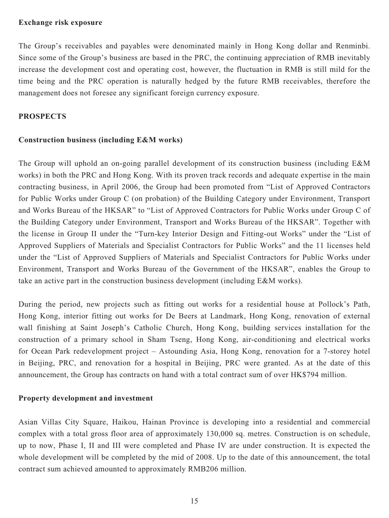#### **Exchange risk exposure**

The Group's receivables and payables were denominated mainly in Hong Kong dollar and Renminbi. Since some of the Group's business are based in the PRC, the continuing appreciation of RMB inevitably increase the development cost and operating cost, however, the fluctuation in RMB is still mild for the time being and the PRC operation is naturally hedged by the future RMB receivables, therefore the management does not foresee any significant foreign currency exposure.

# **PROSPECTS**

# **Construction business (including E&M works)**

The Group will uphold an on-going parallel development of its construction business (including E&M works) in both the PRC and Hong Kong. With its proven track records and adequate expertise in the main contracting business, in April 2006, the Group had been promoted from "List of Approved Contractors for Public Works under Group C (on probation) of the Building Category under Environment, Transport and Works Bureau of the HKSAR" to "List of Approved Contractors for Public Works under Group C of the Building Category under Environment, Transport and Works Bureau of the HKSAR". Together with the license in Group II under the "Turn-key Interior Design and Fitting-out Works" under the "List of Approved Suppliers of Materials and Specialist Contractors for Public Works" and the 11 licenses held under the "List of Approved Suppliers of Materials and Specialist Contractors for Public Works under Environment, Transport and Works Bureau of the Government of the HKSAR", enables the Group to take an active part in the construction business development (including E&M works).

During the period, new projects such as fitting out works for a residential house at Pollock's Path, Hong Kong, interior fitting out works for De Beers at Landmark, Hong Kong, renovation of external wall finishing at Saint Joseph's Catholic Church, Hong Kong, building services installation for the construction of a primary school in Sham Tseng, Hong Kong, air-conditioning and electrical works for Ocean Park redevelopment project – Astounding Asia, Hong Kong, renovation for a 7-storey hotel in Beijing, PRC, and renovation for a hospital in Beijing, PRC were granted. As at the date of this announcement, the Group has contracts on hand with a total contract sum of over HK\$794 million.

### **Property development and investment**

Asian Villas City Square, Haikou, Hainan Province is developing into a residential and commercial complex with a total gross floor area of approximately 130,000 sq. metres. Construction is on schedule, up to now, Phase I, II and III were completed and Phase IV are under construction. It is expected the whole development will be completed by the mid of 2008. Up to the date of this announcement, the total contract sum achieved amounted to approximately RMB206 million.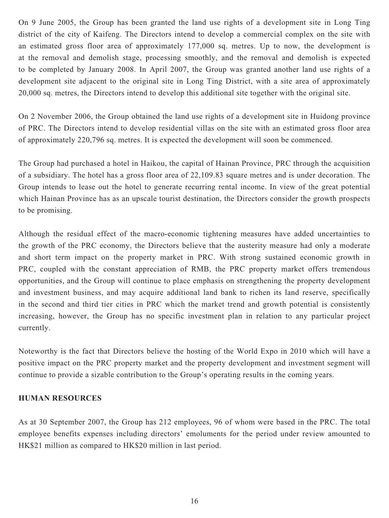On 9 June 2005, the Group has been granted the land use rights of a development site in Long Ting district of the city of Kaifeng. The Directors intend to develop a commercial complex on the site with an estimated gross floor area of approximately 177,000 sq. metres. Up to now, the development is at the removal and demolish stage, processing smoothly, and the removal and demolish is expected to be completed by January 2008. In April 2007, the Group was granted another land use rights of a development site adjacent to the original site in Long Ting District, with a site area of approximately 20,000 sq. metres, the Directors intend to develop this additional site together with the original site.

On 2 November 2006, the Group obtained the land use rights of a development site in Huidong province of PRC. The Directors intend to develop residential villas on the site with an estimated gross floor area of approximately 220,796 sq. metres. It is expected the development will soon be commenced.

The Group had purchased a hotel in Haikou, the capital of Hainan Province, PRC through the acquisition of a subsidiary. The hotel has a gross floor area of 22,109.83 square metres and is under decoration. The Group intends to lease out the hotel to generate recurring rental income. In view of the great potential which Hainan Province has as an upscale tourist destination, the Directors consider the growth prospects to be promising.

Although the residual effect of the macro-economic tightening measures have added uncertainties to the growth of the PRC economy, the Directors believe that the austerity measure had only a moderate and short term impact on the property market in PRC. With strong sustained economic growth in PRC, coupled with the constant appreciation of RMB, the PRC property market offers tremendous opportunities, and the Group will continue to place emphasis on strengthening the property development and investment business, and may acquire additional land bank to richen its land reserve, specifically in the second and third tier cities in PRC which the market trend and growth potential is consistently increasing, however, the Group has no specific investment plan in relation to any particular project currently.

Noteworthy is the fact that Directors believe the hosting of the World Expo in 2010 which will have a positive impact on the PRC property market and the property development and investment segment will continue to provide a sizable contribution to the Group's operating results in the coming years.

### **HUMAN RESOURCES**

As at 30 September 2007, the Group has 212 employees, 96 of whom were based in the PRC. The total employee benefits expenses including directors' emoluments for the period under review amounted to HK\$21 million as compared to HK\$20 million in last period.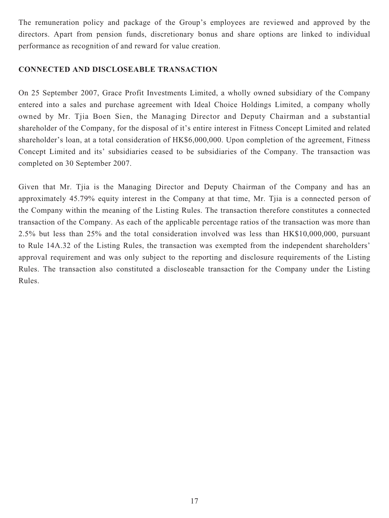The remuneration policy and package of the Group's employees are reviewed and approved by the directors. Apart from pension funds, discretionary bonus and share options are linked to individual performance as recognition of and reward for value creation.

# **CONNECTED AND DISCLOSEABLE TRANSACTION**

On 25 September 2007, Grace Profit Investments Limited, a wholly owned subsidiary of the Company entered into a sales and purchase agreement with Ideal Choice Holdings Limited, a company wholly owned by Mr. Tjia Boen Sien, the Managing Director and Deputy Chairman and a substantial shareholder of the Company, for the disposal of it's entire interest in Fitness Concept Limited and related shareholder's loan, at a total consideration of HK\$6,000,000. Upon completion of the agreement, Fitness Concept Limited and its' subsidiaries ceased to be subsidiaries of the Company. The transaction was completed on 30 September 2007.

Given that Mr. Tjia is the Managing Director and Deputy Chairman of the Company and has an approximately 45.79% equity interest in the Company at that time, Mr. Tjia is a connected person of the Company within the meaning of the Listing Rules. The transaction therefore constitutes a connected transaction of the Company. As each of the applicable percentage ratios of the transaction was more than 2.5% but less than 25% and the total consideration involved was less than HK\$10,000,000, pursuant to Rule 14A.32 of the Listing Rules, the transaction was exempted from the independent shareholders' approval requirement and was only subject to the reporting and disclosure requirements of the Listing Rules. The transaction also constituted a discloseable transaction for the Company under the Listing Rules.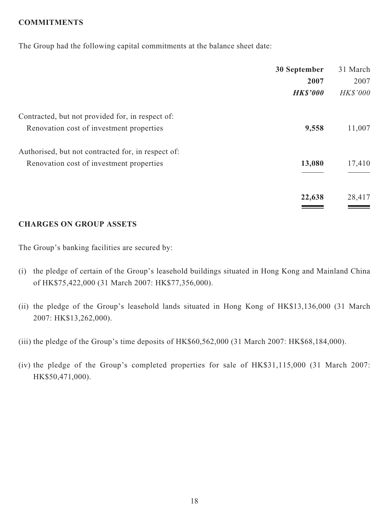# **COMMITMENTS**

The Group had the following capital commitments at the balance sheet date:

|                                                    | 30 September    | 31 March        |
|----------------------------------------------------|-----------------|-----------------|
|                                                    | 2007            | 2007            |
|                                                    | <b>HK\$'000</b> | <b>HK\$'000</b> |
| Contracted, but not provided for, in respect of:   |                 |                 |
| Renovation cost of investment properties           | 9,558           | 11,007          |
| Authorised, but not contracted for, in respect of: |                 |                 |
| Renovation cost of investment properties           | 13,080          | 17,410          |
|                                                    |                 |                 |
|                                                    | 22,638          | 28,417          |
|                                                    |                 |                 |

### **CHARGES ON GROUP ASSETS**

The Group's banking facilities are secured by:

- (i) the pledge of certain of the Group's leasehold buildings situated in Hong Kong and Mainland China of HK\$75,422,000 (31 March 2007: HK\$77,356,000).
- (ii) the pledge of the Group's leasehold lands situated in Hong Kong of HK\$13,136,000 (31 March 2007: HK\$13,262,000).
- (iii) the pledge of the Group's time deposits of HK\$60,562,000 (31 March 2007: HK\$68,184,000).
- (iv) the pledge of the Group's completed properties for sale of HK\$31,115,000 (31 March 2007: HK\$50,471,000).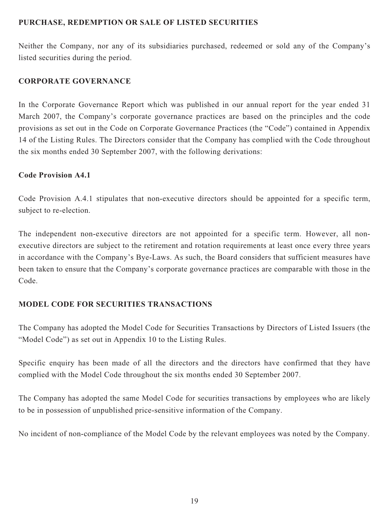# **PURCHASE, REDEMPTION OR SALE OF LISTED SECURITIES**

Neither the Company, nor any of its subsidiaries purchased, redeemed or sold any of the Company's listed securities during the period.

# **CORPORATE GOVERNANCE**

In the Corporate Governance Report which was published in our annual report for the year ended 31 March 2007, the Company's corporate governance practices are based on the principles and the code provisions as set out in the Code on Corporate Governance Practices (the "Code") contained in Appendix 14 of the Listing Rules. The Directors consider that the Company has complied with the Code throughout the six months ended 30 September 2007, with the following derivations:

# **Code Provision A4.1**

Code Provision A.4.1 stipulates that non-executive directors should be appointed for a specific term, subject to re-election.

The independent non-executive directors are not appointed for a specific term. However, all nonexecutive directors are subject to the retirement and rotation requirements at least once every three years in accordance with the Company's Bye-Laws. As such, the Board considers that sufficient measures have been taken to ensure that the Company's corporate governance practices are comparable with those in the Code.

# **MODEL CODE FOR SECURITIES TRANSACTIONS**

The Company has adopted the Model Code for Securities Transactions by Directors of Listed Issuers (the "Model Code") as set out in Appendix 10 to the Listing Rules.

Specific enquiry has been made of all the directors and the directors have confirmed that they have complied with the Model Code throughout the six months ended 30 September 2007.

The Company has adopted the same Model Code for securities transactions by employees who are likely to be in possession of unpublished price-sensitive information of the Company.

No incident of non-compliance of the Model Code by the relevant employees was noted by the Company.